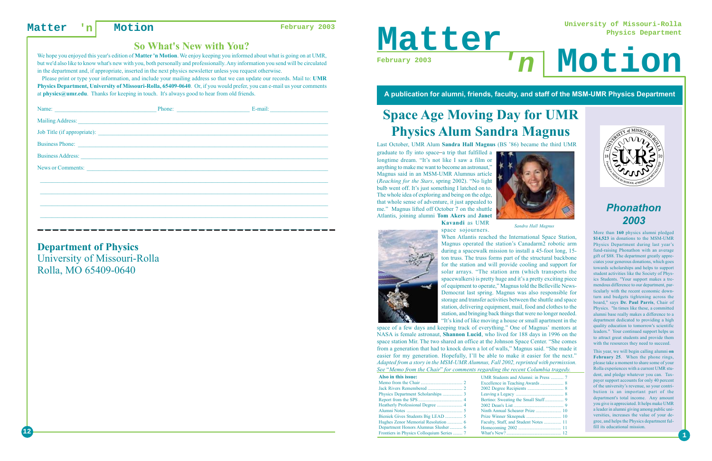# **Space Age Moving Day for UMR Physics Alum Sandra Magnus**

# *Phonathon 2003*

More than **160** physics alumni pledged **\$14,523** in donations to the MSM-UMR Physics Department during last year's fund-raising Phonathon with an average gift of \$88. The department greatly appreciates your generous donations, which goes towards scholarships and helps to support student activities like the Society of Physics Students. "Your support makes a tremendous difference to our department, particularly with the recent economic downturn and budgets tightening across the board," says **Dr. Paul Parris**, Chair of Physics. "In times like these, a committed alumni base really makes a difference to a department dedicated to providing a high quality education to tomorrow's scientific leaders." Your continued support helps us to attract great students and provide them with the resources they need to succeed.



This year, we will begin calling alumni **on February 25**. When the phone rings, please take a moment to share some of your Rolla experiences with a current UMR student, and pledge whatever you can. Taxpayer support accounts for only 40 percent of the university's revenue, so your contribution is an important part of the department's total income. Any amount you give is appreciated. It helps make UMR a leader in alumni giving among public universities, increases the value of your degree, and helps the Physics department fulfill its educational mission.

**University of Missouri-Rolla Physics Department**

# **'n**

## **A publication for alumni, friends, faculty, and staff of the MSM-UMR Physics Department**



Last October, UMR Alum **Sandra Hall Magnus** (BS '86) became the third UMR

graduate to fly into space –a trip that fulfilled a longtime dream. "It's not like I saw a film or anything to make me want to become an astronaut," Magnus said in an MSM-UMR Alumnus article (*Reaching for the Stars*, spring 2002). "No light bulb went off. It's just something I latched on to. The whole idea of exploring and being on the edge, that whole sense of adventure, it just appealed to me." Magnus lifted off October 7 on the shuttle Atlantis, joining alumni **Tom Akers** and **Janet Kavandi** as UMR





space sojourners. When Atlantis reached the International Space Station, Magnus operated the station's Canadarm2 robotic arm during a spacewalk mission to install a 45-foot long, 15 ton truss. The truss forms part of the structural backbone for the station and will provide cooling and support for solar arrays. "The station arm (which transports the spacewalkers) is pretty huge and it's a pretty exciting piece of equipment to operate," Magnus told the Belleville News-Democrat last spring. Magnus was also responsible for storage and transfer activities between the shuttle and space station, delivering equipment, mail, food and clothes to the station, and bringing back things that were no longer needed. "It's kind of like moving a house or small apartment in the

|                                                                                                                                                                                                                                      | E-mail: $\qquad \qquad$ |
|--------------------------------------------------------------------------------------------------------------------------------------------------------------------------------------------------------------------------------------|-------------------------|
|                                                                                                                                                                                                                                      |                         |
|                                                                                                                                                                                                                                      |                         |
| Business Phone: <u>Container and Community of the Community of the Community of the Community of the Community of the Community of the Community of the Community of the Community of the Community of the Community of the Comm</u> |                         |
|                                                                                                                                                                                                                                      |                         |
| News or Comments:                                                                                                                                                                                                                    |                         |
|                                                                                                                                                                                                                                      |                         |
|                                                                                                                                                                                                                                      |                         |
|                                                                                                                                                                                                                                      |                         |
|                                                                                                                                                                                                                                      |                         |
|                                                                                                                                                                                                                                      |                         |

space of a few days and keeping track of everything." One of Magnus' mentors at NASA is female astronaut, **Shannon Lucid**, who lived for 188 days in 1996 on the space station Mir. The two shared an office at the Johnson Space Center. "She comes from a generation that had to knock down a lot of walls," Magnus said. "She made it easier for my generation. Hopefully, I'll be able to make it easier for the next." *Adapted from a story in the MSM-UMR Alumnus, Fall 2002, reprinted with permission. See* "*Memo from the Chair*" *for comments regarding the recent Columbia tragedy.*

| Also in this issue:                       |  |
|-------------------------------------------|--|
| Memo from the Chair                       |  |
|                                           |  |
|                                           |  |
|                                           |  |
|                                           |  |
|                                           |  |
|                                           |  |
|                                           |  |
|                                           |  |
| Frontiers in Physics Colloquium Series  7 |  |

| UMR Students and Alumni: in Press  7  |  |
|---------------------------------------|--|
|                                       |  |
|                                       |  |
|                                       |  |
|                                       |  |
|                                       |  |
|                                       |  |
|                                       |  |
| Faculty, Staff, and Student Notes  11 |  |
|                                       |  |
|                                       |  |



We hope you enjoyed this year's edition of **Matter 'n Motion**. We enjoy keeping you informed about what is going on at UMR, but we'd also like to know what's new with you, both personally and professionally. Any information you send will be circulated in the department and, if appropriate, inserted in the next physics newsletter unless you request otherwise.

 Please print or type your information, and include your mailing address so that we can update our records. Mail to: **UMR Physics Department, University of Missouri-Rolla, 65409-0640**. Or, if you would prefer, you can e-mail us your comments at **physics@umr.edu**. Thanks for keeping in touch. It's always good to hear from old friends.

\_\_\_\_\_\_\_\_\_\_\_\_\_\_\_\_\_\_\_\_\_\_\_\_\_\_\_\_\_\_\_\_\_\_\_\_\_\_\_\_\_\_\_\_\_\_\_\_\_\_\_\_\_\_\_\_\_\_\_\_\_\_\_\_\_\_\_\_\_\_\_\_\_\_\_\_\_\_\_\_\_\_\_\_\_\_\_\_\_\_\_\_\_\_\_\_\_\_\_

# **Department of Physics**

University of Missouri-Rolla Rolla, MO 65409-0640

# **So What's New with You?**

*Sandra Hall Magnus*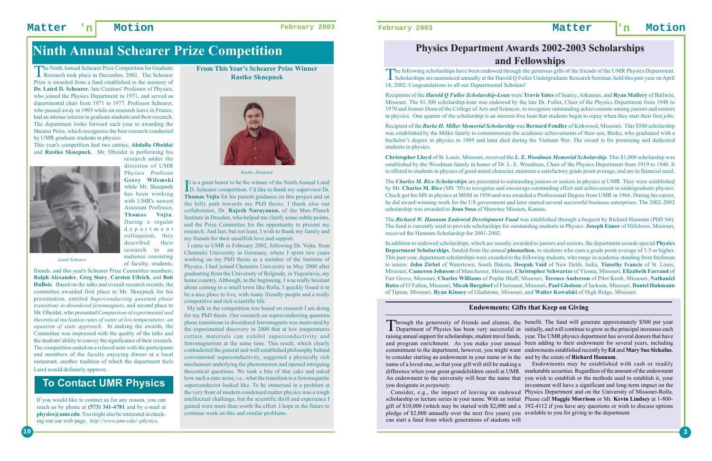## **Matter 'n Motion February 2003 February 2003 Matter 'n Motion**

# **Physics Department Awards 2002-2003 Scholarships and Fellowships**

The following scholarships have been endowed through the generous gifts of the friends of the UMR Physics Department.<br>Scholarships are announced annually at the Harold Q Fuller Undergraduate Research Seminar, held this pas 18, 2002. Congratulations to all our Departmental Scholars!

Recipients of the *Harold Q Fuller Scholarship-Loan* were **Travis Yates** of Searcy, Arkansas, and **Ryan Mallery** of Ballwin, Missouri. The \$1,300 scholarship-loan was endowed by the late Dr. Fuller, Chair of the Physics Department from 1948 to 1970 and former Dean of the College of Arts and Sciences, to recognize outstanding achievements among juniors and seniors in physics. One quarter of the scholarship is an interest-free loan that students begin to repay when they start their first jobs.

Recipient of the *Burke H. Miller Memorial Scholarship* was **Bernard Fendler** of Kirkwood, Missouri. This \$500 scholarship was established by the Miller family to commemorate the academic achievements of their son, Burke, who graduated with a bachelor's degree in physics in 1969 and later died during the Vietnam War. The award is for promising and dedicated students in physics.

**Christopher Lloyd** of St. Louis, Missouri, received the *L. E. Woodman Memorial Scholarship*. This \$1,000 scholarship was established by the Woodman family in honor of Dr. L. E. Woodman, Chair of the Physics Department from 1919 to 1948. It is offered to students in physics of good moral character, maintain a satisfactory grade point average, and are in financial need.

The *Charles M. Rice Scholarships* are presented to outstanding juniors or seniors in physics at UMR. They were established by Mr. **Charles M. Rice** (MS '50) to recognize and encourage outstanding effort and achievement in undergraduate physics. Chuck got his MS in physics at MSM in 1950 and was awarded a Professional Degree from UMR in 1966. During his career, he did award-winning work for the US government and later started several successful business enterprises. The 2002-2003 scholarship was awarded to **Joao Sosa** of Shawnee Mission, Kansas.

The *Richard W. Hannum Endowed Development Fund* was established through a bequest by Richard Hannum (PhD '66). The fund is currently used to provide scholarships for outstanding students in Physics. **Joseph Eimer** of Hillsboro, Missouri, received the Hannum Scholarship for 2001-2002.

Through the generosity of friends and alumni, the benefit. The fund will generate approximately \$500 per year<br>Department of Physics has been very successful in initially, and will continue to grow as the principal increase raising annual support for scholarships, student travel funds, year. The UMR physics department has several donors that have and program enrichment. As you make your annual been adding to their endowment for several years, including commitment to the department, however, you might want endowments established recently by **Ed** and **Mary Sue Sickafus**, to consider starting an endowment in your name or in the and by the estate of **Richard Hannum**. name of a loved one, so that your gift will still be making a Endowments may be established with cash or readily difference when your great-grandchildren enroll at UMR. marketable securities. Regardless of the amount of the endowment An endowment to the university will bear the name that you wish to establish or the methods used to establish it, your you designate *in perpetuity.* initially, and will continue to grow as the principal increases each investment will have a significant and long-term impact on the

In addition to endowed scholarships, which are usually awarded to juniors and seniors, the department awards special **Physics Department Scholarships**, funded from the annual **phonathon**, to students who earn a grade point average of 3.5 or higher. This past year, department scholarships were awarded to the following students, who range in academic standing from freshman to senior: **John Zirbel** of Watertown, South Dakota, **Deepak Vaid** of New Dehli, India, **Timothy Ivancic** of St. Louis, Missouri, **Cameron Johnson** of Manchester, Missouri, **Christopher Schwartze** of Vienna, Missouri, **Elizabeth Farrand** of Fair Grove, Missouri, **Charles Williams** of Poplar Bluff, Missouri, **Terence Anderson** of Pilot Knob, Missouri, **Nathaniel Bates** of O'Fallon, Missouri, **Micah Burgdorf** of Florissant, Missouri, **Paul Gholson** of Jackson, Missouri, **Daniel Huhmann** of Tipton, Missouri, **Ryan Kinney** of Gladstone, Missouri, and **Walter Kowalski** of High Ridge, Missouri.

**10**

The Ninth Annual Schearer Prize Competition for Graduate Research took place in December, 2002. The Schearer Prize is awarded from a fund established in the memory of **Dr. Laird D. Schearer**, late Curators' Professor of Physics, who joined the Physics Department in 1971, and served as departmental chair from 1971 to 1977. Professor Schearer, who passed away in 1993 while on research leave in France, had an intense interest in graduate students and their research. The department looks forward each year to awarding the Shearer Prize, which recognizes the best research conducted by UMR graduate students in physics.

> Consider, e.g., the impact of leaving an endowed Physics Department and on the University of Missouri-Rolla. scholarship or lecture series in your name. With an initial Please call **Maggie Morrison** or Mr. **Kevin Lindsey** at 1-800 gift of \$10,000 (which may be started with \$2,000 and a 392-4112 if you have any questions or wish to discuss options pledge of \$2,000 annually over the next five years) you available to you for giving to the department. can start a fund from which generations of students will

## **Endowments: Gifts that Keep on Giving**

# **Ninth Annual Schearer Prize Competition**

**From This Year's Schearer Prize Winner Rastko Sknepnek**



It is a great honor to be the winner of the Ninth Annual Laird D. Schearer competition. I'd like to thank my supervisor Dr. **Thomas Vojta** for his patient guidance on this project and on the hilly path towards my PhD thesis. I thank also our collaborator, Dr. **Rajesh Narayanan,** of the Max-Planck Institute in Dresden, who helped me clarify some subtle points, and the Prize Committee for the opportunity to present my research. And last, but not least, I wish to thank my family and my friends for their unselfish love and support.

 I came to UMR in February 2002, following Dr. Vojta, from Chemnitz University in Germany, where I spent two years working on my PhD thesis as a member of the Institute of Physics. I had joined Chemnitz University in May 2000 after graduating from the University of Belgrade, in Yugoslavia, my home country. Although, in the beginning, I was really hesitant about coming to a small town like Rolla, I quickly found it to be a nice place to live, with many friendly people and a really competitive and rich scientific life.

 My talk in the competition was based on research I am doing for my PhD thesis. Our research on superconducting quantum phase transitions in disordered ferromagnets was motivated by the experimental discovery in 2000 that at low temperatures certain materials can exhibit superconductivity and ferromagnetism at the same time. This result, which clearly contradicted the general and well established philosophy behind conventional superconductivity, suggested a physically rich mechanism underlying the phenomenon and opened intriguing theoretical questions. We took a bite of that cake and asked how such a state arose, i.e., what the transition to a ferromagnetic superconductor looked like. To be immersed in a problem at the very front of modern condensed matter physics was a tough intellectual challenge, but the scientific thrill and experience I gained were more than worth the effort. I hope in the future to continue work on this and similar problems.

*Rastko Sknepnek*

This year's competition had two entries, **Abdalla Obeidat** and **Rastko Sknepnek**. Mr. Obeidat is performing his research under the



of faculty, students,

friends, and this year's Schearer Prize Committee members, **Ralph Alexander**, **Greg Story**, **Carsten Ullrich**, and **Bob DuBois**. Based on the talks and overall research records, the committee awarded first place to Mr. Sknepnek for his presentation, entitled *Superconducting quantum phase transitions in disordered ferromagnets*, and second place to Mr. Obeidat, who presented *Comparison of experimental and theoretical nucleation rates of water at low temperatures: an equation of state approach*. In making the awards, the Committee was impressed with the quality of the talks and the students' ability to convey the significance of their research. The competition ended on a relaxed note with the participants and members of the faculty enjoying dinner at a local restaurant, another tradition of which the department feels Laird would definitely approve.

If you would like to contact us for any reason, you can reach us by phone at **(573) 341-4781** and by e-mail at **physics@umr.edu**. You might also be interested in checking out our web page, *http://www.umr.edu/~physics*.

# **To Contact UMR Physics**

*Laird Schearer*